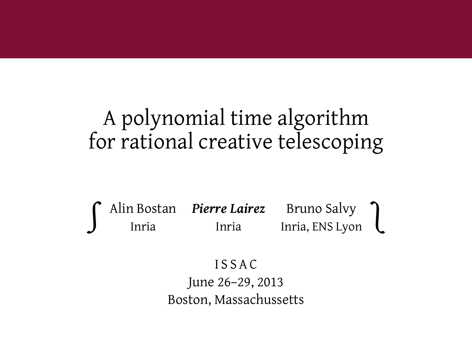### A polynomial time algorithm for rational creative telescoping

∫ Alin Bostan *Pierre Lairez* Bruno Salvy Inria Inria Inria, ENS Lyon ∫

#### I S S A C

June 26–29, 2013 Boston, Massachussetts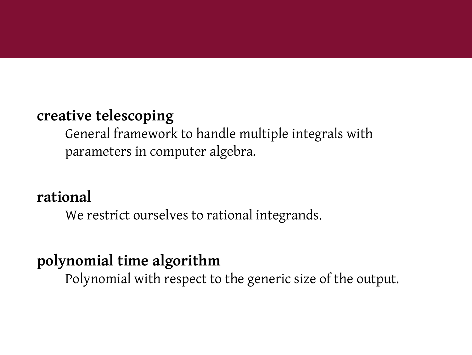#### **creative telescoping**

General framework to handle multiple integrals with parameters in computer algebra.

#### **rational**

We restrict ourselves to rational integrands.

### **polynomial time algorithm**

Polynomial with respect to the generic size of the output.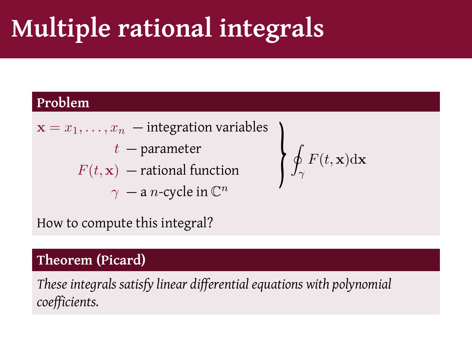# **Multiple rational integrals**

#### **Problem**

 $\mathbf{x} = \overline{x_1, \ldots, x_n}$  — integration variables *t* — parameter  $F(t, \mathbf{x})$  — rational function  $\gamma$  — a *n*-cycle in  $\mathbb{C}^n$ 

$$
\oint_{\gamma} F(t,{\bf x}) {\rm d}{\bf x}
$$

How to compute this integral?

### **Theorem (Picard)**

*These integrals satisfy linear differential equations with polynomial coefficients.*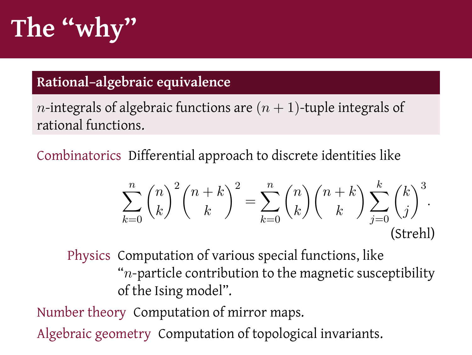# **The "why"**

### **Rational–algebraic equivalence**

*n*-integrals of algebraic functions are  $(n + 1)$ -tuple integrals of rational functions.

Combinatorics Differential approach to discrete identities like

$$
\sum_{k=0}^{n} \binom{n}{k}^{2} \binom{n+k}{k}^{2} = \sum_{k=0}^{n} \binom{n}{k} \binom{n+k}{k} \sum_{j=0}^{k} \binom{k}{j}^{3}.
$$
\n(Strehl)

Physics Computation of various special functions, like "*n*-particle contribution to the magnetic susceptibility of the Ising model".

Number theory Computation of mirror maps.

Algebraic geometry Computation of topological invariants.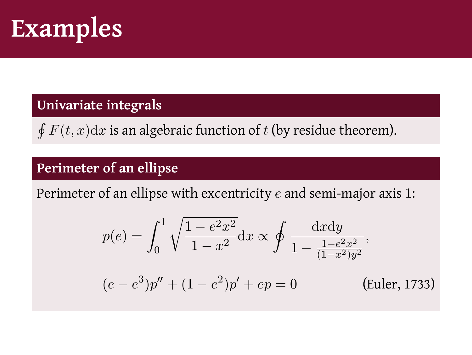

#### **Univariate integrals**

∮ *F*(*t, x*)d*x* is an algebraic function of *t* (by residue theorem).

#### **Perimeter of an ellipse**

Perimeter of an ellipse with excentricity *e* and semi-major axis 1:

$$
p(e) = \int_0^1 \sqrt{\frac{1 - e^2 x^2}{1 - x^2}} dx \propto \oint \frac{dx dy}{1 - \frac{1 - e^2 x^2}{(1 - x^2)y^2}},
$$
  
\n
$$
(e - e^3)p'' + (1 - e^2)p' + ep = 0
$$
 (Euler, 1733)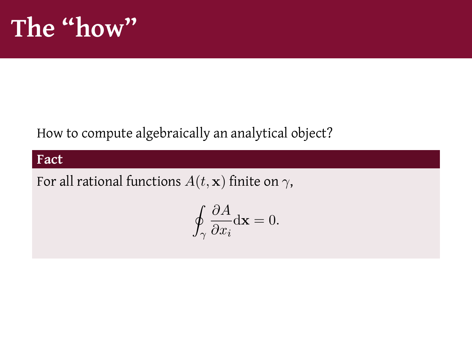## **The "how"**

### How to compute algebraically an analytical object?

#### **Fact**

For all rational functions  $A(t, \mathbf{x})$  finite on  $\gamma$ ,

$$
\oint_{\gamma} \frac{\partial A}{\partial x_i} \mathrm{d} \mathbf{x} = 0.
$$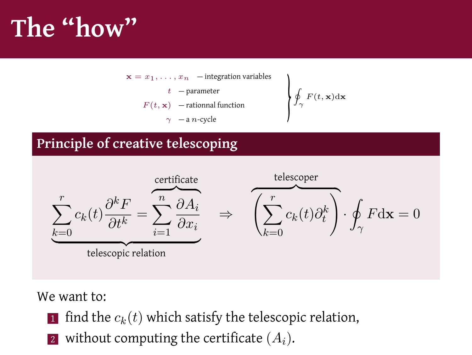# **The "how"**



### **Principle of creative telescoping**



We want to:

- $\blacksquare$  find the  $c_k(t)$  which satisfy the telescopic relation,
- <sup>2</sup> without computing the certificate (*Ai*).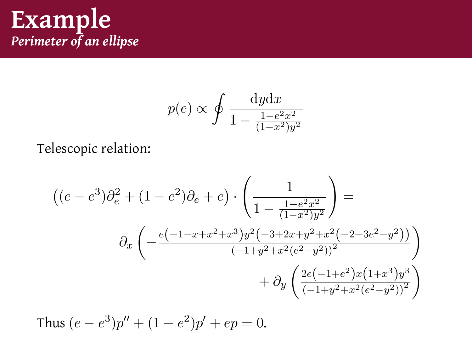### **Example** *Perimeter of an ellipse*

$$
p(e) \propto \oint \frac{\mathrm{d}y \mathrm{d}x}{1 - \frac{1 - e^2 x^2}{(1 - x^2)y^2}}
$$

Telescopic relation:

$$
\begin{aligned}\n\left( (e - e^3) \partial_e^2 + (1 - e^2) \partial_e + e \right) \cdot \left( \frac{1}{1 - \frac{1 - e^2 x^2}{(1 - x^2) y^2}} \right) &= \\
\partial_x \left( -\frac{e^{\left( -1 - x + x^2 + x^3 \right) y^2 \left( -3 + 2x + y^2 + x^2 \left( -2 + 3e^2 - y^2 \right) \right)}}{(-1 + y^2 + x^2 (e^2 - y^2))^2} \right) \\
&+ \partial_y \left( \frac{2e^{\left( -1 + e^2 \right) x \left( 1 + x^3 \right) y^3}}{(-1 + y^2 + x^2 (e^2 - y^2))^2} \right)\n\end{aligned}
$$

Thus 
$$
(e - e^3)p'' + (1 - e^2)p' + ep = 0.
$$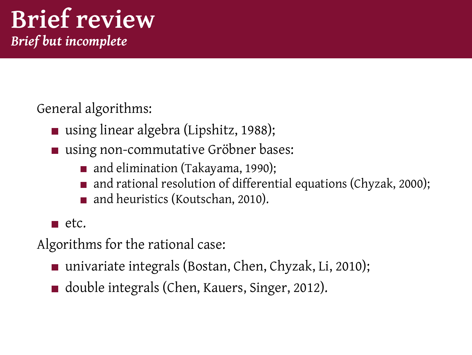### **Brief review** *Brief but incomplete*

General algorithms:

- using linear algebra (Lipshitz, 1988);
- using non-commutative Gröbner bases:
	- and elimination (Takayama, 1990);
	- and rational resolution of differential equations (Chyzak, 2000);
	- and heuristics (Koutschan, 2010).

 $\blacksquare$  etc.

Algorithms for the rational case:

- univariate integrals (Bostan, Chen, Chyzak, Li, 2010);
- double integrals (Chen, Kauers, Singer, 2012).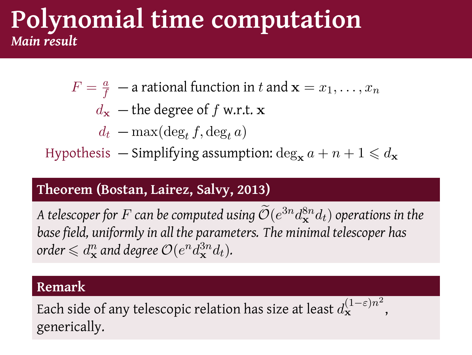### **Polynomial time computation** *Main result*

- $F = \frac{a}{f}$  a rational function in *t* and  $\mathbf{x} = x_1, \dots, x_n$ 
	- $d$ **x** the degree of *f* w.r.t. **x** 
		- $d_t$  max(deg<sub>t</sub>  $f$ , deg<sub>t</sub>  $a$ )

Hypothesis — Simplifying assumption:  $\deg_{\mathbf{x}} a + n + 1 \leq d_{\mathbf{x}}$ 

#### **Theorem (Bostan, Lairez, Salvy, 2013)**

*A telescoper for*  $F$  *can be computed using*  $\mathcal{O}(e^{3n}d_{\mathbf{x}}^{8n}d_t)$  *operations in the base field, uniformly in all the parameters. The minimal telescoper has*  $\text{order} \leqslant d^n_{\mathbf{x}}$  and degree  $\mathcal{O}(e^n d_{\mathbf{x}}^{3n} d_t)$ .

#### **Remark**

Each side of any telescopic relation has size at least  $d_{\mathbf{x}}^{(1-\varepsilon)n^2}$  , generically.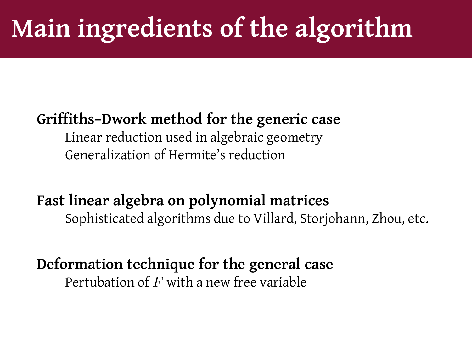# **Main ingredients of the algorithm**

### **Griffiths–Dwork method for the generic case**

Linear reduction used in algebraic geometry Generalization of Hermite's reduction

**Fast linear algebra on polynomial matrices** Sophisticated algorithms due to Villard, Storjohann, Zhou, etc.

**Deformation technique for the general case** Pertubation of *F* with a new free variable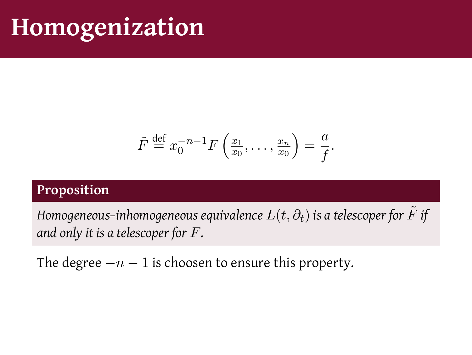## **Homogenization**

$$
\tilde{F} \stackrel{\text{def}}{=} x_0^{-n-1} F\left(\frac{x_1}{x_0}, \dots, \frac{x_n}{x_0}\right) = \frac{a}{f}.
$$

#### **Proposition**

*Homogeneous–inhomogeneous equivalence*  $L(t, \partial_t)$  *is a telescoper for*  $\tilde{F}$  *if and only it is a telescoper for F.*

The degree *−n −* 1 is choosen to ensure this property.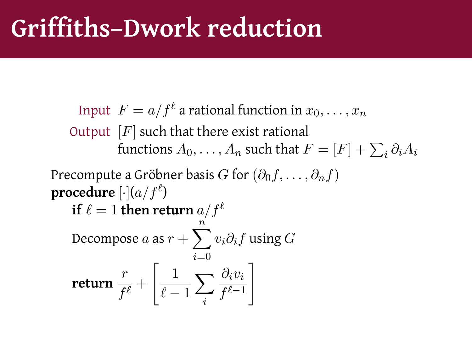# **Griffiths–Dwork reduction**

Input 
$$
F = a/f^{\ell}
$$
 a rational function in  $x_0, ..., x_n$   
\nOutput [F] such that there exist rational  
\nfunctions  $A_0, ..., A_n$  such that  $F = [F] + \sum_i \partial_i A_i$   
\nPrecompute a Gröbner basis G for  $(\partial_0 f, ..., \partial_n f)$   
\nprocedure  $[\cdot](a/f^{\ell})$   
\nif  $\ell = 1$  then return  $a/f^{\ell}$   
\nDecompose a as  $r + \sum_{i=0}^{n} v_i \partial_i f$  using G  
\nreturn  $\frac{r}{f^{\ell}} + \left[\frac{1}{\ell - 1} \sum_i \frac{\partial_i v_i}{f^{\ell - 1}}\right]$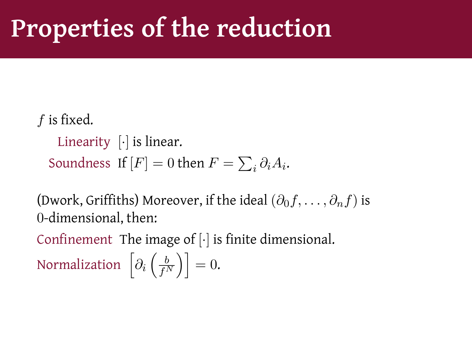## **Properties of the reduction**

*f* is fixed.

Linearity [*·*] is linear. Soundness If  $[F] = 0$  then  $F = \sum_i \partial_i A_i$ .

(Dwork, Griffiths) Moreover, if the ideal  $(\partial_0 f, \dots, \partial_n f)$  is 0-dimensional, then:

Confinement The image of [*·*] is finite dimensional. Normalization  $\left[\partial_i \left(\frac{b}{f^N}\right)\right]=0.$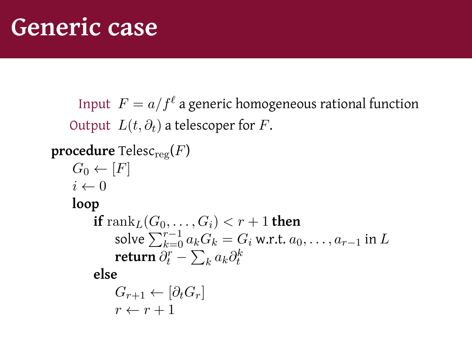Input  $\; F = a/f^\ell$  a generic homogeneous rational function Output  $L(t, \partial_t)$  a telescoper for *F*. **procedure** Telesc<sub>reg</sub> $(F)$  $G_0 \leftarrow [F]$  $i \leftarrow 0$ **loop if** rank<sub>*L*</sub>( $G_0$ , . . . ,  $G_i$ ) <  $r + 1$  **then** solve  $\sum_{k=0}^{r-1} a_k G_k = G_i$  w.r.t.  $a_0, \ldots, a_{r-1}$  in *L* **return**  $\partial_t^r - \sum_k a_k \partial_t^k$ **else**  $G_{r+1} \leftarrow [\partial_t G_r]$  $r \leftarrow r + 1$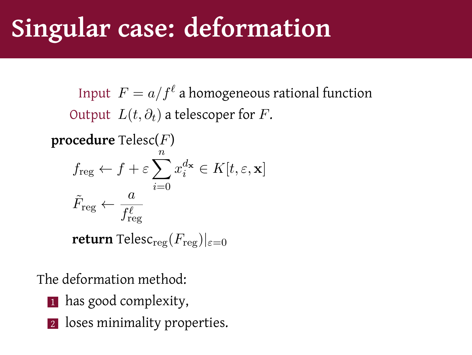# **Singular case: deformation**

Input  $\; F = a/f^\ell \;$ a homogeneous rational function Output  $L(t, \partial_t)$  a telescoper for *F*.

**procedure** Telesc(*F*)  $f_{\text{reg}} \leftarrow f + \varepsilon \sum^{n}$ *i*=0  $x_i^{d_{\mathbf{x}}} \in K[t, \varepsilon, \mathbf{x}]$  $\tilde{F}_\mathrm{reg} \leftarrow$ *a*  $f_{\text{reg}}^{\ell}$ 

**return** Telesc<sub>reg</sub> $(F_{\text{reg}})|_{\varepsilon=0}$ 

The deformation method:

- 1 has good complexity,
- 2 loses minimality properties.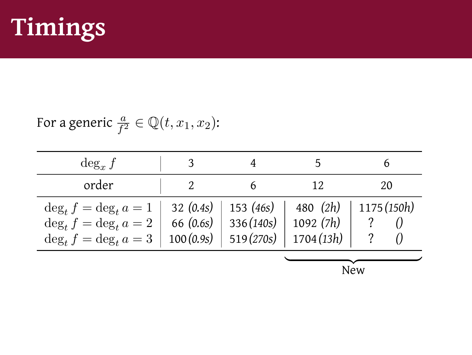

For a generic  $\frac{a}{f^2} \in \mathbb{Q}(t, x_1, x_2)$ :

| $\deg_x f$                |             |                         |           | b           |
|---------------------------|-------------|-------------------------|-----------|-------------|
| order                     |             |                         | 12        | 20          |
| $\deg_t f = \deg_t a = 1$ | 32 $(0.4s)$ | 153 (46s)               | 480 (2h)  | 1175 (150h) |
| $\deg_t f = \deg_t a = 2$ | 66 $(0.6s)$ | 336(140s)               | 1092(7h)  |             |
| $\deg_t f = \deg_t a = 3$ |             | $100(0.9s)$   519(270s) | 1704(13h) |             |
|                           | New         |                         |           |             |